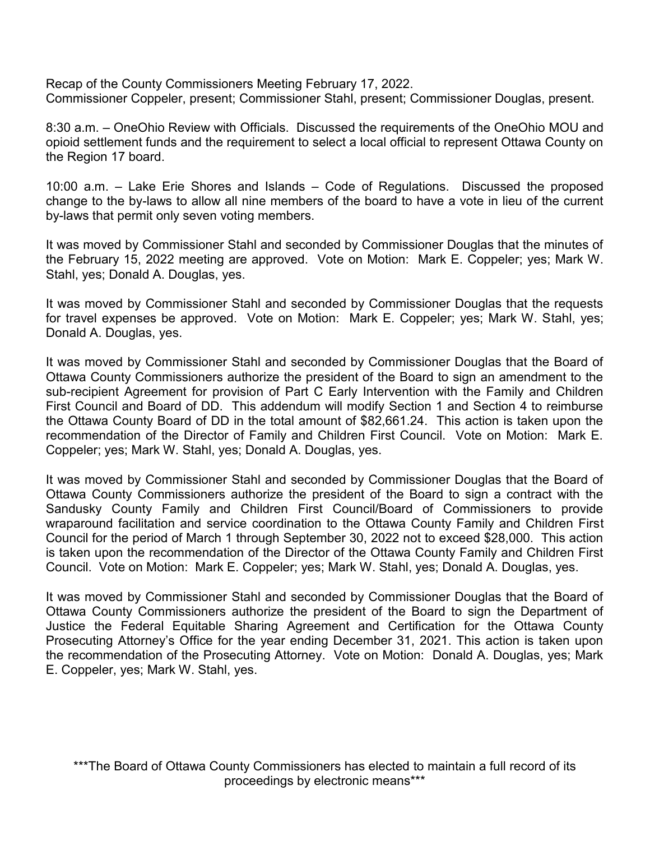Recap of the County Commissioners Meeting February 17, 2022. Commissioner Coppeler, present; Commissioner Stahl, present; Commissioner Douglas, present.

8:30 a.m. – OneOhio Review with Officials. Discussed the requirements of the OneOhio MOU and opioid settlement funds and the requirement to select a local official to represent Ottawa County on the Region 17 board.

10:00 a.m. – Lake Erie Shores and Islands – Code of Regulations. Discussed the proposed change to the by-laws to allow all nine members of the board to have a vote in lieu of the current by-laws that permit only seven voting members.

It was moved by Commissioner Stahl and seconded by Commissioner Douglas that the minutes of the February 15, 2022 meeting are approved. Vote on Motion: Mark E. Coppeler; yes; Mark W. Stahl, yes; Donald A. Douglas, yes.

It was moved by Commissioner Stahl and seconded by Commissioner Douglas that the requests for travel expenses be approved. Vote on Motion: Mark E. Coppeler; yes; Mark W. Stahl, yes; Donald A. Douglas, yes.

It was moved by Commissioner Stahl and seconded by Commissioner Douglas that the Board of Ottawa County Commissioners authorize the president of the Board to sign an amendment to the sub-recipient Agreement for provision of Part C Early Intervention with the Family and Children First Council and Board of DD. This addendum will modify Section 1 and Section 4 to reimburse the Ottawa County Board of DD in the total amount of \$82,661.24. This action is taken upon the recommendation of the Director of Family and Children First Council. Vote on Motion: Mark E. Coppeler; yes; Mark W. Stahl, yes; Donald A. Douglas, yes.

It was moved by Commissioner Stahl and seconded by Commissioner Douglas that the Board of Ottawa County Commissioners authorize the president of the Board to sign a contract with the Sandusky County Family and Children First Council/Board of Commissioners to provide wraparound facilitation and service coordination to the Ottawa County Family and Children First Council for the period of March 1 through September 30, 2022 not to exceed \$28,000. This action is taken upon the recommendation of the Director of the Ottawa County Family and Children First Council. Vote on Motion: Mark E. Coppeler; yes; Mark W. Stahl, yes; Donald A. Douglas, yes.

It was moved by Commissioner Stahl and seconded by Commissioner Douglas that the Board of Ottawa County Commissioners authorize the president of the Board to sign the Department of Justice the Federal Equitable Sharing Agreement and Certification for the Ottawa County Prosecuting Attorney's Office for the year ending December 31, 2021. This action is taken upon the recommendation of the Prosecuting Attorney. Vote on Motion: Donald A. Douglas, yes; Mark E. Coppeler, yes; Mark W. Stahl, yes.